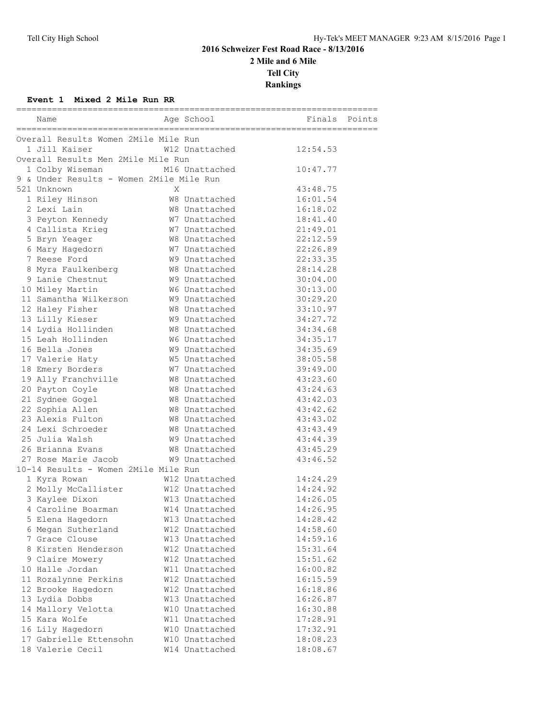# **2016 Schweizer Fest Road Race - 8/13/2016 2 Mile and 6 Mile Tell City Rankings**

#### **Event 1 Mixed 2 Mile Run RR**

| Name                                     |   | Age School     | Finals Points |  |
|------------------------------------------|---|----------------|---------------|--|
| Overall Results Women 2Mile Mile Run     |   |                |               |  |
| 1 Jill Kaiser                            |   | W12 Unattached | 12:54.53      |  |
| Overall Results Men 2Mile Mile Run       |   |                |               |  |
| 1 Colby Wiseman                          |   | M16 Unattached | 10:47.77      |  |
| 9 & Under Results - Women 2Mile Mile Run |   |                |               |  |
| 521 Unknown                              | X |                | 43:48.75      |  |
| 1 Riley Hinson                           |   | W8 Unattached  | 16:01.54      |  |
| 2 Lexi Lain                              |   | W8 Unattached  | 16:18.02      |  |
| 3 Peyton Kennedy                         |   | W7 Unattached  | 18:41.40      |  |
| 4 Callista Krieg                         |   | W7 Unattached  | 21:49.01      |  |
| 5 Bryn Yeager                            |   | W8 Unattached  | 22:12.59      |  |
| 6 Mary Hagedorn                          |   | W7 Unattached  | 22:26.89      |  |
| 7 Reese Ford                             |   | W9 Unattached  | 22:33.35      |  |
| 8 Myra Faulkenberg                       |   | W8 Unattached  | 28:14.28      |  |
| 9 Lanie Chestnut                         |   | W9 Unattached  | 30:04.00      |  |
| 10 Miley Martin                          |   | W6 Unattached  | 30:13.00      |  |
| 11 Samantha Wilkerson                    |   | W9 Unattached  | 30:29.20      |  |
| 12 Haley Fisher                          |   | W8 Unattached  | 33:10.97      |  |
| 13 Lilly Kieser                          |   | W9 Unattached  | 34:27.72      |  |
| 14 Lydia Hollinden                       |   | W8 Unattached  | 34:34.68      |  |
| 15 Leah Hollinden                        |   | W6 Unattached  | 34:35.17      |  |
| 16 Bella Jones                           |   | W9 Unattached  | 34:35.69      |  |
| 17 Valerie Haty                          |   | W5 Unattached  | 38:05.58      |  |
| 18 Emery Borders                         |   | W7 Unattached  | 39:49.00      |  |
| 19 Ally Franchville                      |   | W8 Unattached  | 43:23.60      |  |
| 20 Payton Coyle                          |   | W8 Unattached  | 43:24.63      |  |
| 21 Sydnee Gogel                          |   | W8 Unattached  | 43:42.03      |  |
| 22 Sophia Allen                          |   | W8 Unattached  | 43:42.62      |  |
| 23 Alexis Fulton                         |   | W8 Unattached  | 43:43.02      |  |
| 24 Lexi Schroeder                        |   | W8 Unattached  | 43:43.49      |  |
| 25 Julia Walsh                           |   | W9 Unattached  | 43:44.39      |  |
| 26 Brianna Evans                         |   | W8 Unattached  | 43:45.29      |  |
| 27 Rose Marie Jacob                      |   | W9 Unattached  | 43:46.52      |  |
| 10-14 Results - Women 2Mile Mile Run     |   |                |               |  |
| 1 Kyra Rowan                             |   | W12 Unattached | 14:24.29      |  |
| 2 Molly McCallister                      |   | W12 Unattached | 14:24.92      |  |
| 3 Kaylee Dixon                           |   | W13 Unattached | 14:26.05      |  |
| 4 Caroline Boarman                       |   | W14 Unattached | 14:26.95      |  |
| 5 Elena Hagedorn                         |   | W13 Unattached | 14:28.42      |  |
| 6 Megan Sutherland                       |   | W12 Unattached | 14:58.60      |  |
| 7 Grace Clouse                           |   | W13 Unattached | 14:59.16      |  |
| 8 Kirsten Henderson                      |   | W12 Unattached | 15:31.64      |  |
| 9 Claire Mowery                          |   | W12 Unattached | 15:51.62      |  |
| 10 Halle Jordan                          |   | W11 Unattached | 16:00.82      |  |
| 11 Rozalynne Perkins                     |   | W12 Unattached | 16:15.59      |  |
| 12 Brooke Hagedorn                       |   | W12 Unattached | 16:18.86      |  |
| 13 Lydia Dobbs                           |   | W13 Unattached | 16:26.87      |  |
| 14 Mallory Velotta                       |   | W10 Unattached | 16:30.88      |  |
| 15 Kara Wolfe                            |   | W11 Unattached | 17:28.91      |  |
| 16 Lily Hagedorn                         |   | W10 Unattached | 17:32.91      |  |
| 17 Gabrielle Ettensohn                   |   | W10 Unattached | 18:08.23      |  |
| 18 Valerie Cecil                         |   | W14 Unattached | 18:08.67      |  |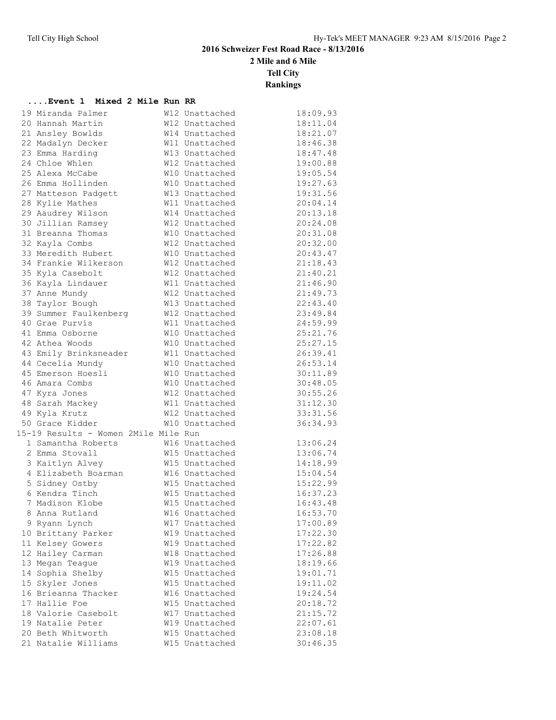**2 Mile and 6 Mile**

**Tell City**

**Rankings**

#### **....Event 1 Mixed 2 Mile Run RR**

| 19 Miranda Palmer                    | W12 Unattached | 18:09.93 |
|--------------------------------------|----------------|----------|
| 20 Hannah Martin                     | W12 Unattached | 18:11.04 |
| 21 Ansley Bowlds                     | W14 Unattached | 18:21.07 |
| 22 Madalyn Decker                    | W11 Unattached | 18:46.38 |
| 23 Emma Harding                      | W13 Unattached | 18:47.48 |
| 24 Chloe Whlen                       | W12 Unattached | 19:00.88 |
| 25 Alexa McCabe                      | W10 Unattached | 19:05.54 |
| 26 Emma Hollinden                    | W10 Unattached | 19:27.63 |
| 27 Matteson Padgett                  | W13 Unattached | 19:31.56 |
| 28 Kylie Mathes                      | W11 Unattached | 20:04.14 |
| 29 Aaudrey Wilson                    | W14 Unattached | 20:13.18 |
| 30 Jillian Ramsey                    | W12 Unattached | 20:24.08 |
| 31 Breanna Thomas                    | W10 Unattached | 20:31.08 |
| 32 Kayla Combs                       | W12 Unattached | 20:32.00 |
| 33 Meredith Hubert                   | W10 Unattached | 20:43.47 |
| 34 Frankie Wilkerson                 | W12 Unattached | 21:18.43 |
| 35 Kyla Casebolt                     | W12 Unattached | 21:40.21 |
| 36 Kayla Lindauer                    | W11 Unattached | 21:46.90 |
| 37 Anne Mundy                        | W12 Unattached | 21:49.73 |
| 38 Taylor Bough                      | W13 Unattached | 22:43.40 |
| 39 Summer Faulkenberg                | W12 Unattached | 23:49.84 |
| 40 Grae Purvis                       | W11 Unattached | 24:59.99 |
| 41 Emma Osborne                      | W10 Unattached | 25:21.76 |
| 42 Athea Woods                       | W10 Unattached | 25:27.15 |
| 43 Emily Brinksneader                | W11 Unattached | 26:39.41 |
| 44 Cecelia Mundy                     | W10 Unattached | 26:53.14 |
| 45 Emerson Hoesli                    | W10 Unattached | 30:11.89 |
| 46 Amara Combs                       | W10 Unattached | 30:48.05 |
| 47 Kyra Jones                        | W12 Unattached | 30:55.26 |
| 48 Sarah Mackey                      | W11 Unattached | 31:12.30 |
| 49 Kyla Krutz                        | W12 Unattached | 33:31.56 |
| 50 Grace Kidder                      | W10 Unattached | 36:34.93 |
| 15-19 Results - Women 2Mile Mile Run |                |          |
| 1 Samantha Roberts                   | W16 Unattached | 13:06.24 |
| 2 Emma Stovall                       | W15 Unattached | 13:06.74 |
| 3 Kaitlyn Alvey                      | W15 Unattached | 14:18.99 |
| 4 Elizabeth Boarman                  | W16 Unattached | 15:04.54 |
| 5 Sidney Ostby                       | W15 Unattached | 15:22.99 |
| 6 Kendra Tinch                       | W15 Unattached | 16:37.23 |
| 7 Madison Klobe                      | W15 Unattached | 16:43.48 |
| 8 Anna Rutland                       | W16 Unattached | 16:53.70 |
| 9 Ryann Lynch                        | W17 Unattached | 17:00.89 |
| 10 Brittany Parker                   | W19 Unattached | 17:22.30 |
| 11 Kelsey Gowers                     | W19 Unattached | 17:22.82 |
| 12 Hailey Carman                     | W18 Unattached | 17:26.88 |
| 13 Megan Teague                      | W19 Unattached | 18:19.66 |
| 14 Sophia Shelby                     | W15 Unattached | 19:01.71 |
| 15 Skyler Jones                      | W15 Unattached | 19:11.02 |
| 16 Brieanna Thacker                  | W16 Unattached | 19:24.54 |
| 17 Hallie Foe                        | W15 Unattached | 20:18.72 |
| 18 Valorie Casebolt                  | W17 Unattached | 21:15.72 |
| 19 Natalie Peter                     | W19 Unattached | 22:07.61 |
| 20 Beth Whitworth                    | W15 Unattached | 23:08.18 |
| 21 Natalie Williams                  | W15 Unattached | 30:46.35 |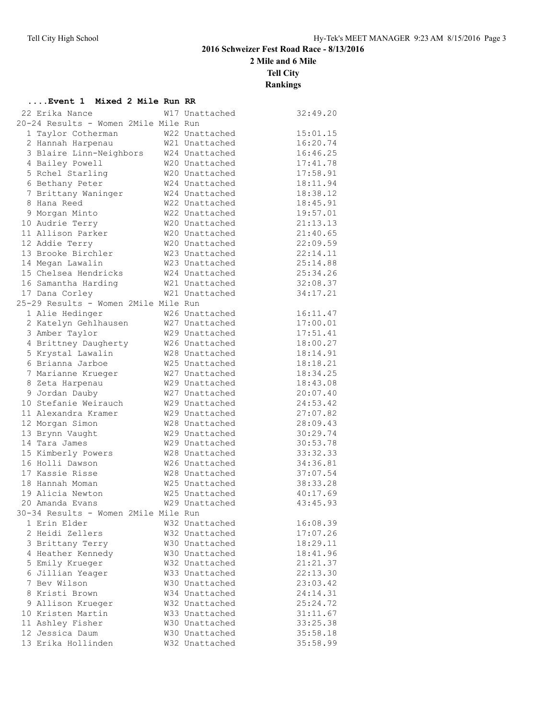**....Event 1 Mixed 2 Mile Run RR**

## **2016 Schweizer Fest Road Race - 8/13/2016**

**2 Mile and 6 Mile**

**Tell City**

| 22 Erika Nance                       | W17 Unattached | 32:49.20 |
|--------------------------------------|----------------|----------|
| 20-24 Results - Women 2Mile Mile Run |                |          |
| 1 Taylor Cotherman                   | W22 Unattached | 15:01.15 |
| 2 Hannah Harpenau                    | W21 Unattached | 16:20.74 |
| 3 Blaire Linn-Neighbors              | W24 Unattached | 16:46.25 |
| 4 Bailey Powell                      | W20 Unattached | 17:41.78 |
| 5 Rchel Starling                     | W20 Unattached | 17:58.91 |
| 6 Bethany Peter                      | W24 Unattached | 18:11.94 |
| 7 Brittany Waninger                  | W24 Unattached | 18:38.12 |
| 8 Hana Reed                          | W22 Unattached | 18:45.91 |
| 9 Morgan Minto                       | W22 Unattached | 19:57.01 |
| 10 Audrie Terry                      | W20 Unattached | 21:13.13 |
| 11 Allison Parker                    | W20 Unattached | 21:40.65 |
| 12 Addie Terry                       | W20 Unattached | 22:09.59 |
| 13 Brooke Birchler                   | W23 Unattached | 22:14.11 |
| 14 Megan Lawalin                     | W23 Unattached | 25:14.88 |
| 15 Chelsea Hendricks                 | W24 Unattached | 25:34.26 |
| 16 Samantha Harding                  | W21 Unattached | 32:08.37 |
| 17 Dana Corley                       | W21 Unattached | 34:17.21 |
| 25-29 Results - Women 2Mile Mile Run |                |          |
| 1 Alie Hedinger                      | W26 Unattached | 16:11.47 |
| 2 Katelyn Gehlhausen                 | W27 Unattached | 17:00.01 |
| 3 Amber Taylor                       | W29 Unattached | 17:51.41 |
| 4 Brittney Daugherty                 | W26 Unattached | 18:00.27 |
| 5 Krystal Lawalin                    | W28 Unattached | 18:14.91 |
| 6 Brianna Jarboe                     | W25 Unattached | 18:18.21 |
| 7 Marianne Krueger                   | W27 Unattached | 18:34.25 |
| 8 Zeta Harpenau                      | W29 Unattached | 18:43.08 |
| 9 Jordan Dauby                       | W27 Unattached | 20:07.40 |
| 10 Stefanie Weirauch                 | W29 Unattached | 24:53.42 |
| 11 Alexandra Kramer                  | W29 Unattached | 27:07.82 |
| 12 Morgan Simon                      | W28 Unattached | 28:09.43 |
| 13 Brynn Vaught                      | W29 Unattached | 30:29.74 |
| 14 Tara James                        | W29 Unattached | 30:53.78 |
| 15 Kimberly Powers                   | W28 Unattached | 33:32.33 |
| 16 Holli Dawson                      | W26 Unattached | 34:36.81 |
| 17 Kassie Risse                      | W28 Unattached | 37:07.54 |
| 18 Hannah Moman                      | W25 Unattached | 38:33.28 |
| 19 Alicia Newton                     | W25 Unattached | 40:17.69 |
| 20 Amanda Evans                      | W29 Unattached | 43:45.93 |
| 30-34 Results - Women 2Mile Mile Run |                |          |
| 1 Erin Elder                         | W32 Unattached | 16:08.39 |
| 2 Heidi Zellers                      | W32 Unattached | 17:07.26 |
| 3 Brittany Terry                     | W30 Unattached | 18:29.11 |
| 4 Heather Kennedy                    | W30 Unattached | 18:41.96 |
| 5 Emily Krueger                      | W32 Unattached | 21:21.37 |
| 6 Jillian Yeager                     | W33 Unattached | 22:13.30 |
| 7 Bev Wilson                         | W30 Unattached | 23:03.42 |
| 8 Kristi Brown                       | W34 Unattached | 24:14.31 |
| 9 Allison Krueger                    | W32 Unattached | 25:24.72 |
| 10 Kristen Martin                    | W33 Unattached | 31:11.67 |
| 11 Ashley Fisher                     | W30 Unattached | 33:25.38 |
| 12 Jessica Daum                      | W30 Unattached | 35:58.18 |
| 13 Erika Hollinden                   | W32 Unattached | 35:58.99 |
|                                      |                |          |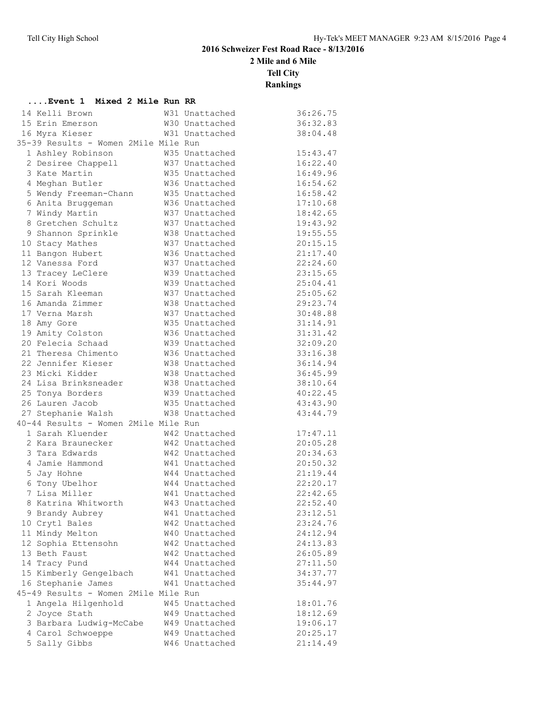**2 Mile and 6 Mile**

**Tell City**

| Event 1 Mixed 2 Mile Run RR          |                |          |
|--------------------------------------|----------------|----------|
| 14 Kelli Brown                       | W31 Unattached | 36:26.75 |
| 15 Erin Emerson                      | W30 Unattached | 36:32.83 |
| 16 Myra Kieser                       | W31 Unattached | 38:04.48 |
| 35-39 Results - Women 2Mile Mile Run |                |          |
| 1 Ashley Robinson                    | W35 Unattached | 15:43.47 |
| 2 Desiree Chappell                   | W37 Unattached | 16:22.40 |
| 3 Kate Martin                        | W35 Unattached | 16:49.96 |
| 4 Meghan Butler                      | W36 Unattached | 16:54.62 |
| 5 Wendy Freeman-Chann                | W35 Unattached | 16:58.42 |
| 6 Anita Bruggeman                    | W36 Unattached | 17:10.68 |
| 7 Windy Martin                       | W37 Unattached | 18:42.65 |
| 8 Gretchen Schultz                   | W37 Unattached | 19:43.92 |
| 9 Shannon Sprinkle                   | W38 Unattached | 19:55.55 |
| 10 Stacy Mathes                      | W37 Unattached | 20:15.15 |
| 11 Bangon Hubert                     | W36 Unattached | 21:17.40 |
| 12 Vanessa Ford                      | W37 Unattached | 22:24.60 |
| 13 Tracey LeClere                    | W39 Unattached | 23:15.65 |
| 14 Kori Woods                        | W39 Unattached | 25:04.41 |
| 15 Sarah Kleeman                     | W37 Unattached | 25:05.62 |
| 16 Amanda Zimmer                     | W38 Unattached | 29:23.74 |
| 17 Verna Marsh                       | W37 Unattached | 30:48.88 |
| 18 Amy Gore                          | W35 Unattached | 31:14.91 |
| 19 Amity Colston                     | W36 Unattached | 31:31.42 |
| 20 Felecia Schaad                    | W39 Unattached | 32:09.20 |
| 21 Theresa Chimento                  | W36 Unattached | 33:16.38 |
| 22 Jennifer Kieser                   | W38 Unattached | 36:14.94 |
| 23 Micki Kidder                      | W38 Unattached | 36:45.99 |
| 24 Lisa Brinksneader                 | W38 Unattached | 38:10.64 |
| 25 Tonya Borders                     | W39 Unattached | 40:22.45 |
| 26 Lauren Jacob                      | W35 Unattached | 43:43.90 |
| 27 Stephanie Walsh                   | W38 Unattached | 43:44.79 |
| 40-44 Results - Women 2Mile Mile Run |                |          |
| 1 Sarah Kluender                     | W42 Unattached | 17:47.11 |
| 2 Kara Braunecker                    | W42 Unattached | 20:05.28 |
| 3 Tara Edwards                       | W42 Unattached | 20:34.63 |
| 4 Jamie Hammond                      | W41 Unattached | 20:50.32 |
| 5 Jay Hohne                          | W44 Unattached | 21:19.44 |
| 6 Tony Ubelhor                       | W44 Unattached | 22:20.17 |
| 7 Lisa Miller                        | W41 Unattached | 22:42.65 |
| 8 Katrina Whitworth                  | W43 Unattached | 22:52.40 |
| 9 Brandy Aubrey                      | W41 Unattached | 23:12.51 |
| 10 Crytl Bales                       | W42 Unattached | 23:24.76 |
| 11 Mindy Melton                      | W40 Unattached | 24:12.94 |
| 12 Sophia Ettensohn                  | W42 Unattached | 24:13.83 |
| 13 Beth Faust                        | W42 Unattached | 26:05.89 |
| 14 Tracy Pund                        | W44 Unattached | 27:11.50 |
| 15 Kimberly Gengelbach               | W41 Unattached | 34:37.77 |
| 16 Stephanie James                   | W41 Unattached | 35:44.97 |
| 45-49 Results - Women 2Mile Mile Run |                |          |
| 1 Angela Hilgenhold                  | W45 Unattached | 18:01.76 |
| 2 Joyce Stath                        | W49 Unattached | 18:12.69 |
| 3 Barbara Ludwig-McCabe              | W49 Unattached | 19:06.17 |
| 4 Carol Schwoeppe                    | W49 Unattached | 20:25.17 |
| 5 Sally Gibbs                        | W46 Unattached | 21:14.49 |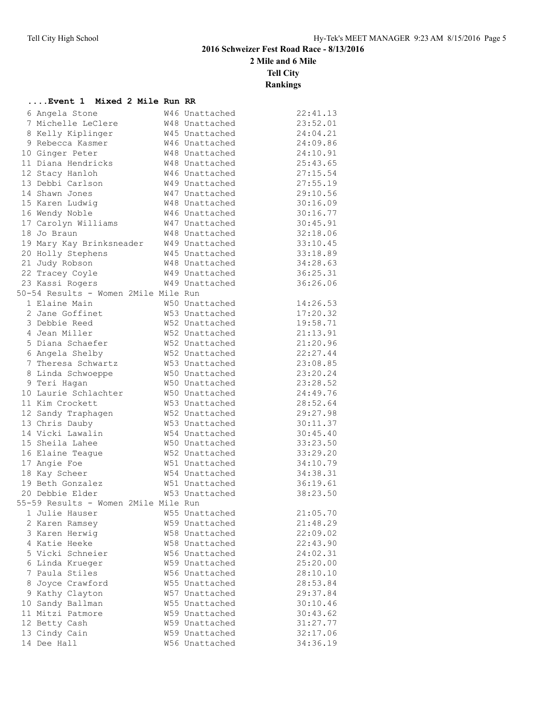**2 Mile and 6 Mile**

**Tell City**

| Event 1 Mixed 2 Mile Run RR          |  |                |          |
|--------------------------------------|--|----------------|----------|
| 6 Angela Stone                       |  | W46 Unattached | 22:41.13 |
| 7 Michelle LeClere                   |  | W48 Unattached | 23:52.01 |
| 8 Kelly Kiplinger                    |  | W45 Unattached | 24:04.21 |
| 9 Rebecca Kasmer                     |  | W46 Unattached | 24:09.86 |
| 10 Ginger Peter                      |  | W48 Unattached | 24:10.91 |
| 11 Diana Hendricks                   |  | W48 Unattached | 25:43.65 |
| 12 Stacy Hanloh                      |  | W46 Unattached | 27:15.54 |
| 13 Debbi Carlson                     |  | W49 Unattached | 27:55.19 |
| 14 Shawn Jones                       |  | W47 Unattached | 29:10.56 |
| 15 Karen Ludwig                      |  | W48 Unattached | 30:16.09 |
| 16 Wendy Noble                       |  | W46 Unattached | 30:16.77 |
| 17 Carolyn Williams                  |  | W47 Unattached | 30:45.91 |
| 18 Jo Braun                          |  | W48 Unattached | 32:18.06 |
| 19 Mary Kay Brinksneader             |  | W49 Unattached | 33:10.45 |
| 20 Holly Stephens                    |  | W45 Unattached | 33:18.89 |
| 21 Judy Robson                       |  | W48 Unattached | 34:28.63 |
| 22 Tracey Coyle                      |  | W49 Unattached | 36:25.31 |
| 23 Kassi Rogers                      |  | W49 Unattached | 36:26.06 |
| 50-54 Results - Women 2Mile Mile Run |  |                |          |
| 1 Elaine Main                        |  | W50 Unattached | 14:26.53 |
| 2 Jane Goffinet                      |  | W53 Unattached | 17:20.32 |
| 3 Debbie Reed                        |  | W52 Unattached | 19:58.71 |
| 4 Jean Miller                        |  | W52 Unattached | 21:13.91 |
| 5 Diana Schaefer                     |  | W52 Unattached | 21:20.96 |
| 6 Angela Shelby                      |  | W52 Unattached | 22:27.44 |
| 7 Theresa Schwartz                   |  | W53 Unattached | 23:08.85 |
| 8 Linda Schwoeppe                    |  | W50 Unattached | 23:20.24 |
| 9 Teri Hagan                         |  | W50 Unattached | 23:28.52 |
| 10 Laurie Schlachter                 |  | W50 Unattached | 24:49.76 |
| 11 Kim Crockett                      |  | W53 Unattached | 28:52.64 |
| 12 Sandy Traphagen                   |  | W52 Unattached | 29:27.98 |
| 13 Chris Dauby                       |  | W53 Unattached | 30:11.37 |
| 14 Vicki Lawalin                     |  | W54 Unattached | 30:45.40 |
| 15 Sheila Lahee                      |  | W50 Unattached | 33:23.50 |
| 16 Elaine Teague                     |  | W52 Unattached | 33:29.20 |
| 17 Angie Foe                         |  | W51 Unattached | 34:10.79 |
| 18 Kay Scheer                        |  | W54 Unattached | 34:38.31 |
| 19 Beth Gonzalez                     |  | W51 Unattached | 36:19.61 |
| 20 Debbie Elder                      |  | W53 Unattached | 38:23.50 |
| 55-59 Results - Women 2Mile Mile Run |  |                |          |
| 1 Julie Hauser                       |  | W55 Unattached | 21:05.70 |
| 2 Karen Ramsey                       |  | W59 Unattached | 21:48.29 |
| 3 Karen Herwig                       |  | W58 Unattached | 22:09.02 |
| 4 Katie Heeke                        |  | W58 Unattached | 22:43.90 |
| 5 Vicki Schneier                     |  | W56 Unattached | 24:02.31 |
| 6 Linda Krueger                      |  | W59 Unattached | 25:20.00 |
| 7 Paula Stiles                       |  | W56 Unattached | 28:10.10 |
| 8 Joyce Crawford                     |  | W55 Unattached | 28:53.84 |
| 9 Kathy Clayton                      |  | W57 Unattached | 29:37.84 |
| 10 Sandy Ballman                     |  | W55 Unattached | 30:10.46 |
| 11 Mitzi Patmore                     |  | W59 Unattached | 30:43.62 |
| 12 Betty Cash                        |  | W59 Unattached | 31:27.77 |
| 13 Cindy Cain                        |  | W59 Unattached | 32:17.06 |
| 14 Dee Hall                          |  | W56 Unattached | 34:36.19 |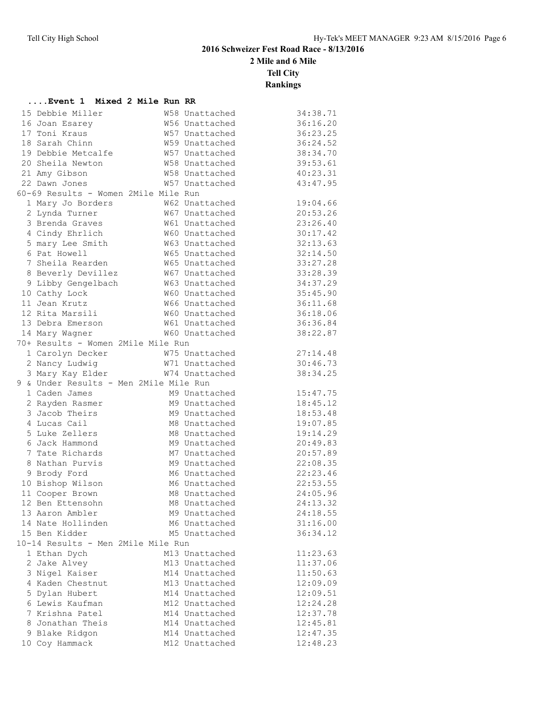**2 Mile and 6 Mile**

**Tell City**

| Event 1 Mixed 2 Mile Run RR            |                |          |
|----------------------------------------|----------------|----------|
| 15 Debbie Miller                       | W58 Unattached | 34:38.71 |
| 16 Joan Esarey                         | W56 Unattached | 36:16.20 |
| 17 Toni Kraus                          | W57 Unattached | 36:23.25 |
| 18 Sarah Chinn                         | W59 Unattached | 36:24.52 |
| 19 Debbie Metcalfe                     | W57 Unattached | 38:34.70 |
| 20 Sheila Newton                       | W58 Unattached | 39:53.61 |
| 21 Amy Gibson                          | W58 Unattached | 40:23.31 |
| 22 Dawn Jones                          | W57 Unattached | 43:47.95 |
| 60-69 Results - Women 2Mile Mile Run   |                |          |
| 1 Mary Jo Borders                      | W62 Unattached | 19:04.66 |
| 2 Lynda Turner                         | W67 Unattached | 20:53.26 |
| 3 Brenda Graves                        | W61 Unattached | 23:26.40 |
| 4 Cindy Ehrlich                        | W60 Unattached | 30:17.42 |
| 5 mary Lee Smith                       | W63 Unattached | 32:13.63 |
| 6 Pat Howell                           | W65 Unattached | 32:14.50 |
| 7 Sheila Rearden                       | W65 Unattached | 33:27.28 |
| 8 Beverly Devillez                     | W67 Unattached | 33:28.39 |
| 9 Libby Gengelbach                     | W63 Unattached | 34:37.29 |
| 10 Cathy Lock                          | W60 Unattached | 35:45.90 |
| 11 Jean Krutz                          | W66 Unattached | 36:11.68 |
| 12 Rita Marsili                        | W60 Unattached | 36:18.06 |
| 13 Debra Emerson                       | W61 Unattached | 36:36.84 |
| 14 Mary Wagner                         | W60 Unattached | 38:22.87 |
| 70+ Results - Women 2Mile Mile Run     |                |          |
| 1 Carolyn Decker                       | W75 Unattached | 27:14.48 |
| 2 Nancy Ludwig                         | W71 Unattached | 30:46.73 |
| 3 Mary Kay Elder                       | W74 Unattached | 38:34.25 |
| 9 & Under Results - Men 2Mile Mile Run |                |          |
| 1 Caden James                          | M9 Unattached  | 15:47.75 |
| 2 Rayden Rasmer                        | M9 Unattached  | 18:45.12 |
| 3 Jacob Theirs                         | M9 Unattached  | 18:53.48 |
| 4 Lucas Cail                           | M8 Unattached  | 19:07.85 |
| 5 Luke Zellers                         | M8 Unattached  | 19:14.29 |
| 6 Jack Hammond                         | M9 Unattached  | 20:49.83 |
| 7 Tate Richards                        | M7 Unattached  | 20:57.89 |
| 8 Nathan Purvis                        | M9 Unattached  | 22:08.35 |
| 9 Brody Ford                           | M6 Unattached  | 22:23.46 |
| 10 Bishop Wilson                       | M6 Unattached  | 22:53.55 |
| 11 Cooper Brown                        | M8 Unattached  | 24:05.96 |
| 12 Ben Ettensohn                       | M8 Unattached  | 24:13.32 |
| 13 Aaron Ambler                        | M9 Unattached  | 24:18.55 |
| 14 Nate Hollinden                      | M6 Unattached  | 31:16.00 |
| 15 Ben Kidder                          | M5 Unattached  | 36:34.12 |
| 10-14 Results - Men 2Mile Mile Run     |                |          |
| 1 Ethan Dych                           | M13 Unattached | 11:23.63 |
| 2 Jake Alvey                           | M13 Unattached | 11:37.06 |
| 3 Nigel Kaiser                         | M14 Unattached | 11:50.63 |
| 4 Kaden Chestnut                       | M13 Unattached | 12:09.09 |
| 5 Dylan Hubert                         | M14 Unattached | 12:09.51 |
| 6 Lewis Kaufman                        | M12 Unattached | 12:24.28 |
| 7 Krishna Patel                        | M14 Unattached | 12:37.78 |
| 8 Jonathan Theis                       | M14 Unattached | 12:45.81 |
| 9 Blake Ridgon                         | M14 Unattached | 12:47.35 |
| 10 Coy Hammack                         | M12 Unattached | 12:48.23 |
|                                        |                |          |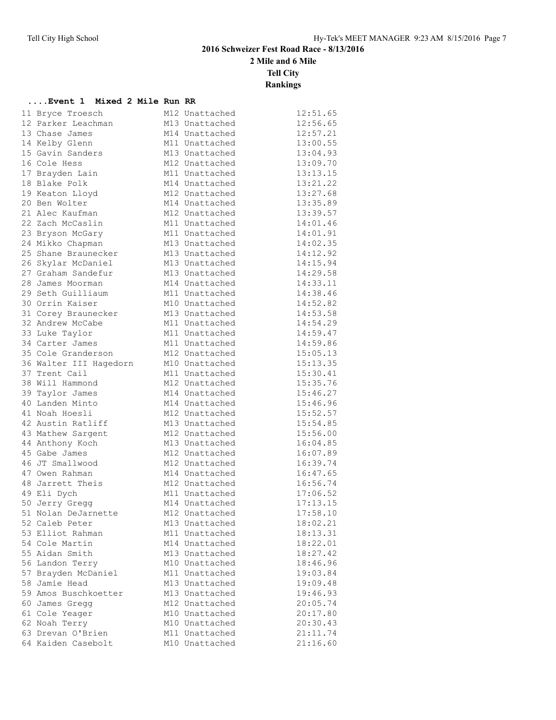**2 Mile and 6 Mile**

**Tell City**

**Rankings**

#### **....Event 1 Mixed 2 Mile Run RR**

|  | 11 Bryce Troesch       | M12 Unattached | 12:51.65 |
|--|------------------------|----------------|----------|
|  | 12 Parker Leachman     | M13 Unattached | 12:56.65 |
|  | 13 Chase James         | M14 Unattached | 12:57.21 |
|  | 14 Kelby Glenn         | M11 Unattached | 13:00.55 |
|  | 15 Gavin Sanders       | M13 Unattached | 13:04.93 |
|  | 16 Cole Hess           | M12 Unattached | 13:09.70 |
|  | 17 Brayden Lain        | M11 Unattached | 13:13.15 |
|  | 18 Blake Polk          | M14 Unattached | 13:21.22 |
|  | 19 Keaton Lloyd        | M12 Unattached | 13:27.68 |
|  | 20 Ben Wolter          | M14 Unattached | 13:35.89 |
|  | 21 Alec Kaufman        | M12 Unattached | 13:39.57 |
|  | 22 Zach McCaslin       | M11 Unattached | 14:01.46 |
|  | 23 Bryson McGary       | M11 Unattached | 14:01.91 |
|  | 24 Mikko Chapman       | M13 Unattached | 14:02.35 |
|  | 25 Shane Braunecker    | M13 Unattached | 14:12.92 |
|  | 26 Skylar McDaniel     | M13 Unattached | 14:15.94 |
|  | 27 Graham Sandefur     | M13 Unattached | 14:29.58 |
|  | 28 James Moorman       | M14 Unattached | 14:33.11 |
|  | 29 Seth Guilliaum      | M11 Unattached | 14:38.46 |
|  | 30 Orrin Kaiser        | M10 Unattached | 14:52.82 |
|  | 31 Corey Braunecker    | M13 Unattached | 14:53.58 |
|  | 32 Andrew McCabe       | M11 Unattached | 14:54.29 |
|  | 33 Luke Taylor         | M11 Unattached | 14:59.47 |
|  | 34 Carter James        | M11 Unattached | 14:59.86 |
|  | 35 Cole Granderson     | M12 Unattached | 15:05.13 |
|  | 36 Walter III Hagedorn | M10 Unattached | 15:13.35 |
|  | 37 Trent Cail          | M11 Unattached | 15:30.41 |
|  | 38 Will Hammond        | M12 Unattached | 15:35.76 |
|  | 39 Taylor James        | M14 Unattached | 15:46.27 |
|  | 40 Landen Minto        | M14 Unattached | 15:46.96 |
|  | 41 Noah Hoesli         | M12 Unattached | 15:52.57 |
|  | 42 Austin Ratliff      | M13 Unattached | 15:54.85 |
|  | 43 Mathew Sargent      | M12 Unattached | 15:56.00 |
|  | 44 Anthony Koch        | M13 Unattached | 16:04.85 |
|  | 45 Gabe James          | M12 Unattached | 16:07.89 |
|  | 46 JT Smallwood        | M12 Unattached | 16:39.74 |
|  | 47 Owen Rahman         | M14 Unattached | 16:47.65 |
|  | 48 Jarrett Theis       | M12 Unattached | 16:56.74 |
|  | 49 Eli Dych            | M11 Unattached | 17:06.52 |
|  | 50 Jerry Gregg         | M14 Unattached | 17:13.15 |
|  | 51 Nolan DeJarnette    | M12 Unattached | 17:58.10 |
|  | 52 Caleb Peter         | M13 Unattached | 18:02.21 |
|  | 53 Elliot Rahman       | M11 Unattached | 18:13.31 |
|  | 54 Cole Martin         | M14 Unattached | 18:22.01 |
|  | 55 Aidan Smith         | M13 Unattached | 18:27.42 |
|  | 56 Landon Terry        | M10 Unattached | 18:46.96 |
|  | 57 Brayden McDaniel    | M11 Unattached | 19:03.84 |
|  | 58 Jamie Head          | M13 Unattached | 19:09.48 |
|  | 59 Amos Buschkoetter   | M13 Unattached | 19:46.93 |
|  | 60 James Gregg         | M12 Unattached | 20:05.74 |
|  | 61 Cole Yeager         | M10 Unattached | 20:17.80 |
|  | 62 Noah Terry          | M10 Unattached | 20:30.43 |
|  | 63 Drevan O'Brien      | M11 Unattached | 21:11.74 |
|  | 64 Kaiden Casebolt     | M10 Unattached | 21:16.60 |
|  |                        |                |          |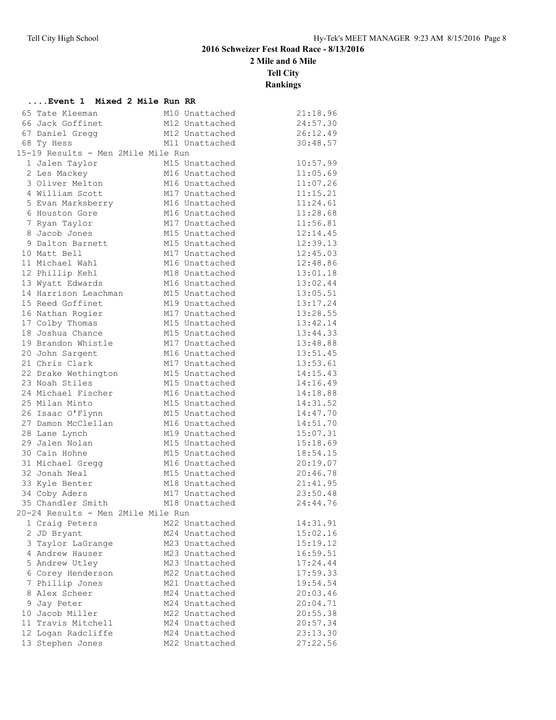**2 Mile and 6 Mile**

**Tell City**

| Event 1 Mixed 2 Mile Run RR        |                |          |
|------------------------------------|----------------|----------|
| 65 Tate Kleeman                    | M10 Unattached | 21:18.96 |
| 66 Jack Goffinet                   | M12 Unattached | 24:57.30 |
| 67 Daniel Gregg                    | M12 Unattached | 26:12.49 |
| 68 Ty Hess                         | M11 Unattached | 30:48.57 |
| 15-19 Results - Men 2Mile Mile Run |                |          |
| 1 Jalen Taylor                     | M15 Unattached | 10:57.99 |
| 2 Les Mackey                       | M16 Unattached | 11:05.69 |
| 3 Oliver Melton                    | M16 Unattached | 11:07.26 |
| 4 William Scott                    | M17 Unattached | 11:15.21 |
| 5 Evan Marksberry                  | M16 Unattached | 11:24.61 |
| 6 Houston Gore                     | M16 Unattached | 11:28.68 |
| 7 Ryan Taylor                      | M17 Unattached | 11:56.81 |
| 8 Jacob Jones                      | M15 Unattached | 12:14.45 |
| 9 Dalton Barnett                   | M15 Unattached | 12:39.13 |
| 10 Matt Bell                       | M17 Unattached | 12:45.03 |
| 11 Michael Wahl                    | M16 Unattached | 12:48.86 |
| 12 Phillip Kehl                    | M18 Unattached | 13:01.18 |
| 13 Wyatt Edwards                   | M16 Unattached | 13:02.44 |
| 14 Harrison Leachman               | M15 Unattached | 13:05.51 |
| 15 Reed Goffinet                   | M19 Unattached | 13:17.24 |
| 16 Nathan Rogier                   | M17 Unattached | 13:28.55 |
| 17 Colby Thomas                    | M15 Unattached | 13:42.14 |
| 18 Joshua Chance                   | M15 Unattached | 13:44.33 |
| 19 Brandon Whistle                 | M17 Unattached | 13:48.88 |
| 20 John Sargent                    | M16 Unattached | 13:51.45 |
| 21 Chris Clark                     | M17 Unattached | 13:53.61 |
| 22 Drake Wethington                | M15 Unattached | 14:15.43 |
| 23 Noah Stiles                     | M15 Unattached | 14:16.49 |
| 24 Michael Fischer                 | M16 Unattached | 14:18.88 |
| 25 Milan Minto                     | M15 Unattached | 14:31.52 |
| 26 Isaac O'Flynn                   | M15 Unattached | 14:47.70 |
| 27 Damon McClellan                 | M16 Unattached | 14:51.70 |
| 28 Lane Lynch                      | M19 Unattached | 15:07.31 |
| 29 Jalen Nolan                     | M15 Unattached | 15:18.69 |
| 30 Cain Hohne                      | M15 Unattached | 18:54.15 |
| 31 Michael Gregg                   | M16 Unattached | 20:19.07 |
| 32 Jonah Neal                      | M15 Unattached | 20:46.78 |
| 33 Kyle Benter                     | M18 Unattached | 21:41.95 |
| 34 Coby Aders                      | M17 Unattached | 23:50.48 |
| 35 Chandler Smith                  | M18 Unattached | 24:44.76 |
| 20-24 Results - Men 2Mile Mile Run |                |          |
| 1 Craig Peters                     | M22 Unattached | 14:31.91 |
| 2 JD Bryant                        | M24 Unattached | 15:02.16 |
| 3 Taylor LaGrange                  | M23 Unattached | 15:19.12 |
| 4 Andrew Hauser                    | M23 Unattached | 16:59.51 |
| 5 Andrew Utley                     | M23 Unattached | 17:24.44 |
| 6 Corey Henderson                  | M22 Unattached | 17:59.33 |
| 7 Phillip Jones                    | M21 Unattached | 19:54.54 |
| 8 Alex Scheer                      | M24 Unattached | 20:03.46 |
| 9 Jay Peter                        | M24 Unattached | 20:04.71 |
| 10 Jacob Miller                    | M22 Unattached | 20:55.38 |
| 11 Travis Mitchell                 | M24 Unattached | 20:57.34 |
| 12 Logan Radcliffe                 | M24 Unattached | 23:13.30 |
| 13 Stephen Jones                   | M22 Unattached | 27:22.56 |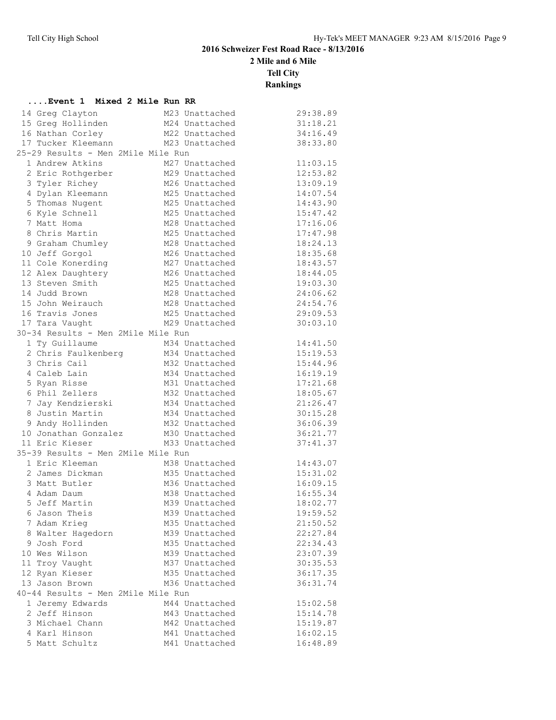**2 Mile and 6 Mile**

**Tell City**

| Event 1 Mixed 2 Mile Run RR        |                |          |
|------------------------------------|----------------|----------|
| 14 Greg Clayton                    | M23 Unattached | 29:38.89 |
| 15 Greg Hollinden                  | M24 Unattached | 31:18.21 |
| 16 Nathan Corley                   | M22 Unattached | 34:16.49 |
| 17 Tucker Kleemann                 | M23 Unattached | 38:33.80 |
| 25-29 Results - Men 2Mile Mile Run |                |          |
| 1 Andrew Atkins                    | M27 Unattached | 11:03.15 |
| 2 Eric Rothgerber                  | M29 Unattached | 12:53.82 |
| 3 Tyler Richey                     | M26 Unattached | 13:09.19 |
| 4 Dylan Kleemann                   | M25 Unattached | 14:07.54 |
| 5 Thomas Nugent                    | M25 Unattached | 14:43.90 |
| 6 Kyle Schnell                     | M25 Unattached | 15:47.42 |
| 7 Matt Homa                        | M28 Unattached | 17:16.06 |
| 8 Chris Martin                     | M25 Unattached | 17:47.98 |
| 9 Graham Chumley                   | M28 Unattached | 18:24.13 |
| 10 Jeff Gorgol                     | M26 Unattached | 18:35.68 |
| 11 Cole Konerding                  | M27 Unattached | 18:43.57 |
| 12 Alex Daughtery                  | M26 Unattached | 18:44.05 |
| 13 Steven Smith                    | M25 Unattached | 19:03.30 |
| 14 Judd Brown                      | M28 Unattached | 24:06.62 |
| 15 John Weirauch                   | M28 Unattached | 24:54.76 |
| 16 Travis Jones                    | M25 Unattached | 29:09.53 |
| 17 Tara Vaught                     | M29 Unattached | 30:03.10 |
| 30-34 Results - Men 2Mile Mile Run |                |          |
| 1 Ty Guillaume                     | M34 Unattached | 14:41.50 |
| 2 Chris Faulkenberg                | M34 Unattached | 15:19.53 |
| 3 Chris Cail                       | M32 Unattached | 15:44.96 |
| 4 Caleb Lain                       | M34 Unattached | 16:19.19 |
| 5 Ryan Risse                       | M31 Unattached | 17:21.68 |
| 6 Phil Zellers                     | M32 Unattached | 18:05.67 |
| 7 Jay Kendzierski                  | M34 Unattached | 21:26.47 |
| 8 Justin Martin                    | M34 Unattached | 30:15.28 |
| 9 Andy Hollinden                   | M32 Unattached | 36:06.39 |
| 10 Jonathan Gonzalez               | M30 Unattached | 36:21.77 |
| 11 Eric Kieser                     | M33 Unattached | 37:41.37 |
| 35-39 Results - Men 2Mile Mile Run |                |          |
| 1 Eric Kleeman                     | M38 Unattached | 14:43.07 |
| 2 James Dickman                    | M35 Unattached | 15:31.02 |
| 3 Matt Butler                      | M36 Unattached | 16:09.15 |
| 4 Adam Daum                        | M38 Unattached | 16:55.34 |
| 5 Jeff Martin                      | M39 Unattached | 18:02.77 |
| 6 Jason Theis                      | M39 Unattached | 19:59.52 |
| 7 Adam Krieg                       | M35 Unattached | 21:50.52 |
| 8 Walter Hagedorn                  | M39 Unattached | 22:27.84 |
| 9 Josh Ford                        | M35 Unattached | 22:34.43 |
| 10 Wes Wilson                      | M39 Unattached | 23:07.39 |
| 11 Troy Vaught                     | M37 Unattached | 30:35.53 |
| 12 Ryan Kieser                     | M35 Unattached | 36:17.35 |
| 13 Jason Brown                     | M36 Unattached | 36:31.74 |
| 40-44 Results - Men 2Mile Mile Run |                |          |
| 1 Jeremy Edwards                   | M44 Unattached | 15:02.58 |
| 2 Jeff Hinson                      | M43 Unattached | 15:14.78 |
| 3 Michael Chann                    | M42 Unattached | 15:19.87 |
| 4 Karl Hinson                      | M41 Unattached | 16:02.15 |
| 5 Matt Schultz                     | M41 Unattached | 16:48.89 |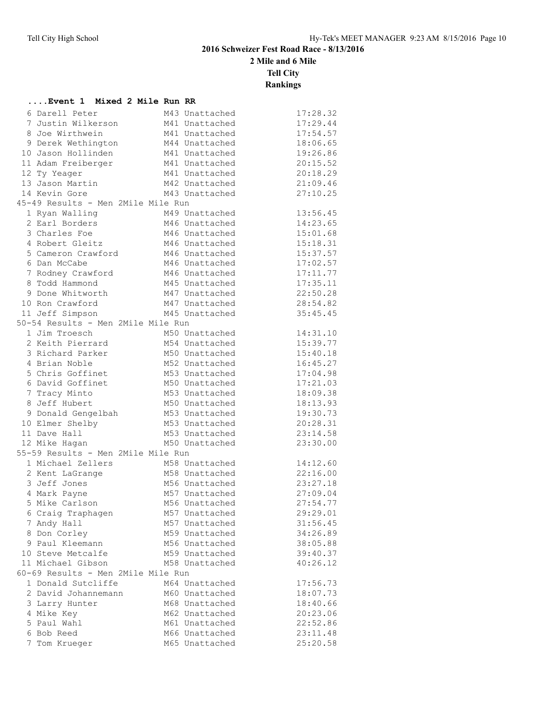**....Event 1 Mixed 2 Mile Run RR**

## **2016 Schweizer Fest Road Race - 8/13/2016**

**2 Mile and 6 Mile**

**Tell City**

| 6 Darell Peter                     | M43 Unattached | 17:28.32 |
|------------------------------------|----------------|----------|
| 7 Justin Wilkerson                 | M41 Unattached | 17:29.44 |
| 8 Joe Wirthwein                    | M41 Unattached | 17:54.57 |
| 9 Derek Wethington                 | M44 Unattached | 18:06.65 |
| 10 Jason Hollinden                 | M41 Unattached | 19:26.86 |
| 11 Adam Freiberger                 | M41 Unattached | 20:15.52 |
| 12 Ty Yeager                       | M41 Unattached | 20:18.29 |
| 13 Jason Martin                    | M42 Unattached | 21:09.46 |
| 14 Kevin Gore                      | M43 Unattached | 27:10.25 |
| 45-49 Results - Men 2Mile Mile Run |                |          |
| 1 Ryan Walling                     | M49 Unattached | 13:56.45 |
| 2 Earl Borders                     | M46 Unattached | 14:23.65 |
| 3 Charles Foe                      | M46 Unattached | 15:01.68 |
| 4 Robert Gleitz                    | M46 Unattached | 15:18.31 |
| 5 Cameron Crawford                 | M46 Unattached | 15:37.57 |
| 6 Dan McCabe                       | M46 Unattached | 17:02.57 |
| 7 Rodney Crawford                  | M46 Unattached | 17:11.77 |
| 8 Todd Hammond                     | M45 Unattached | 17:35.11 |
| 9 Done Whitworth                   | M47 Unattached | 22:50.28 |
| 10 Ron Crawford                    | M47 Unattached | 28:54.82 |
| 11 Jeff Simpson                    | M45 Unattached | 35:45.45 |
| 50-54 Results - Men 2Mile Mile Run |                |          |
| 1 Jim Troesch                      | M50 Unattached | 14:31.10 |
| 2 Keith Pierrard                   | M54 Unattached | 15:39.77 |
| 3 Richard Parker                   | M50 Unattached | 15:40.18 |
| 4 Brian Noble                      | M52 Unattached | 16:45.27 |
| 5 Chris Goffinet                   | M53 Unattached | 17:04.98 |
| 6 David Goffinet                   | M50 Unattached | 17:21.03 |
| 7 Tracy Minto                      | M53 Unattached | 18:09.38 |
| 8 Jeff Hubert                      | M50 Unattached | 18:13.93 |
| 9 Donald Gengelbah                 | M53 Unattached | 19:30.73 |
| 10 Elmer Shelby                    | M53 Unattached | 20:28.31 |
| 11 Dave Hall                       | M53 Unattached | 23:14.58 |
| 12 Mike Hagan                      | M50 Unattached | 23:30.00 |
| 55-59 Results - Men 2Mile Mile Run |                |          |
| 1 Michael Zellers                  | M58 Unattached | 14:12.60 |
| 2 Kent LaGrange                    | M58 Unattached | 22:16.00 |
| 3 Jeff Jones                       | M56 Unattached | 23:27.18 |
| 4 Mark Payne                       | M57 Unattached | 27:09.04 |
| 5 Mike Carlson                     | M56 Unattached | 27:54.77 |
| 6 Craig Traphagen                  | M57 Unattached | 29:29.01 |
| 7 Andy Hall                        | M57 Unattached | 31:56.45 |
| 8 Don Corley                       | M59 Unattached | 34:26.89 |
| 9 Paul Kleemann                    | M56 Unattached | 38:05.88 |
| 10 Steve Metcalfe                  | M59 Unattached | 39:40.37 |
| 11 Michael Gibson                  | M58 Unattached | 40:26.12 |
| 60-69 Results - Men 2Mile Mile Run |                |          |
| 1 Donald Sutcliffe                 | M64 Unattached | 17:56.73 |
| 2 David Johannemann                | M60 Unattached | 18:07.73 |
| 3 Larry Hunter                     | M68 Unattached | 18:40.66 |
| 4 Mike Key                         | M62 Unattached | 20:23.06 |
| 5 Paul Wahl                        | M61 Unattached | 22:52.86 |
| 6 Bob Reed                         | M66 Unattached | 23:11.48 |
| 7 Tom Krueger                      | M65 Unattached | 25:20.58 |